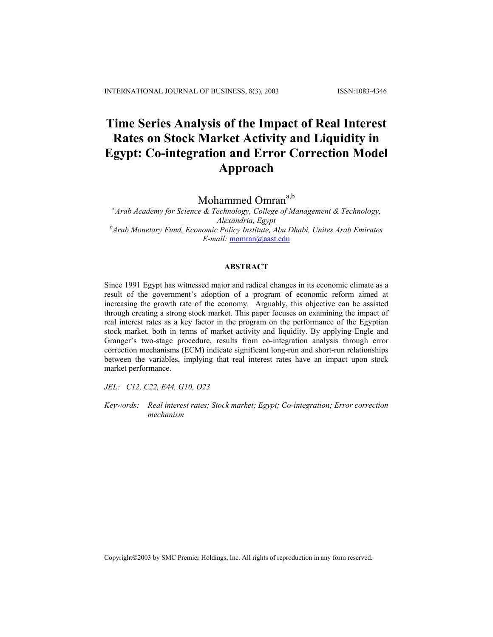# **Time Series Analysis of the Impact of Real Interest Rates on Stock Market Activity and Liquidity in Egypt: Co-integration and Error Correction Model Approach**

Mohammed Omran<sup>a,b</sup>

<sup>a</sup>*Arab Academy for Science & Technology, College of Management & Technology, Alexandria, Egypt b Arab Monetary Fund, Economic Policy Institute, Abu Dhabi, Unites Arab Emirates E-mail:* [momran@aast.edu](mailto:momran@aast.edu)

## **ABSTRACT**

Since 1991 Egypt has witnessed major and radical changes in its economic climate as a result of the government's adoption of a program of economic reform aimed at increasing the growth rate of the economy. Arguably, this objective can be assisted through creating a strong stock market. This paper focuses on examining the impact of real interest rates as a key factor in the program on the performance of the Egyptian stock market, both in terms of market activity and liquidity. By applying Engle and Granger's two-stage procedure, results from co-integration analysis through error correction mechanisms (ECM) indicate significant long-run and short-run relationships between the variables, implying that real interest rates have an impact upon stock market performance.

*JEL: C12, C22, E44, G10, O23* 

*Keywords: Real interest rates; Stock market; Egypt; Co-integration; Error correction mechanism* 

Copyright©2003 by SMC Premier Holdings, Inc. All rights of reproduction in any form reserved.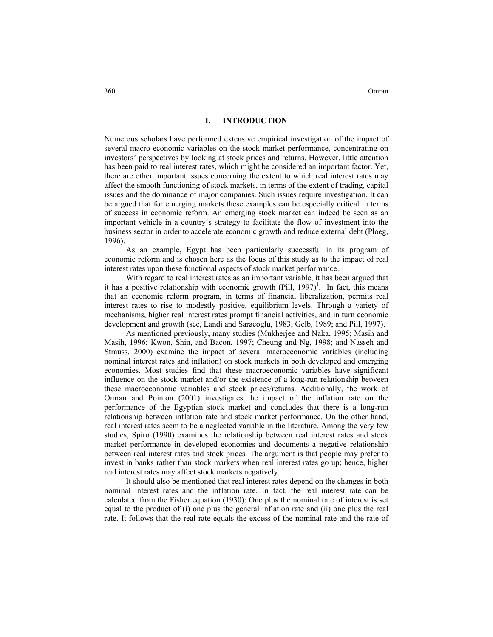## **I. INTRODUCTION**

Numerous scholars have performed extensive empirical investigation of the impact of several macro-economic variables on the stock market performance, concentrating on investors' perspectives by looking at stock prices and returns. However, little attention has been paid to real interest rates, which might be considered an important factor. Yet, there are other important issues concerning the extent to which real interest rates may affect the smooth functioning of stock markets, in terms of the extent of trading, capital issues and the dominance of major companies. Such issues require investigation. It can be argued that for emerging markets these examples can be especially critical in terms of success in economic reform. An emerging stock market can indeed be seen as an important vehicle in a country's strategy to facilitate the flow of investment into the business sector in order to accelerate economic growth and reduce external debt (Ploeg, 1996).

As an example, Egypt has been particularly successful in its program of economic reform and is chosen here as the focus of this study as to the impact of real interest rates upon these functional aspects of stock market performance.

With regard to real interest rates as an important variable, it has been argued that it has a positive relationship with economic growth  $(Pill, 1997)^1$ . In fact, this means that an economic reform program, in terms of financial liberalization, permits real interest rates to rise to modestly positive, equilibrium levels. Through a variety of mechanisms, higher real interest rates prompt financial activities, and in turn economic development and growth (see, Landi and Saracoglu, 1983; Gelb, 1989; and Pill, 1997).

As mentioned previously, many studies (Mukherjee and Naka, 1995; Masih and Masih, 1996; Kwon, Shin, and Bacon, 1997; Cheung and Ng, 1998; and Nasseh and Strauss, 2000) examine the impact of several macroeconomic variables (including nominal interest rates and inflation) on stock markets in both developed and emerging economies. Most studies find that these macroeconomic variables have significant influence on the stock market and/or the existence of a long-run relationship between these macroeconomic variables and stock prices/returns. Additionally, the work of Omran and Pointon (2001) investigates the impact of the inflation rate on the performance of the Egyptian stock market and concludes that there is a long-run relationship between inflation rate and stock market performance. On the other hand, real interest rates seem to be a neglected variable in the literature. Among the very few studies, Spiro (1990) examines the relationship between real interest rates and stock market performance in developed economies and documents a negative relationship between real interest rates and stock prices. The argument is that people may prefer to invest in banks rather than stock markets when real interest rates go up; hence, higher real interest rates may affect stock markets negatively.

It should also be mentioned that real interest rates depend on the changes in both nominal interest rates and the inflation rate. In fact, the real interest rate can be calculated from the Fisher equation (1930): One plus the nominal rate of interest is set equal to the product of (i) one plus the general inflation rate and (ii) one plus the real rate. It follows that the real rate equals the excess of the nominal rate and the rate of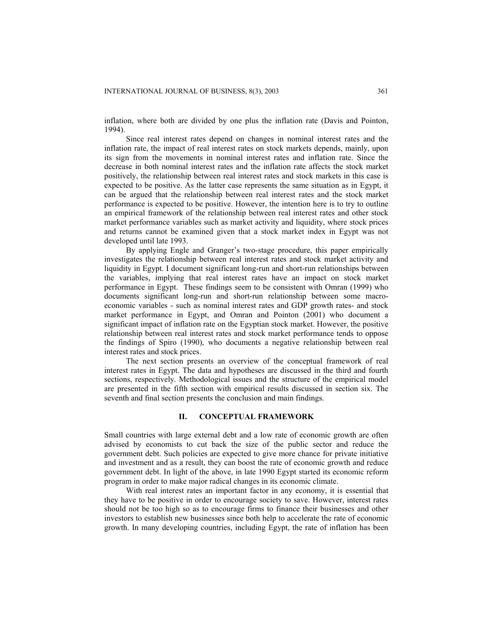inflation, where both are divided by one plus the inflation rate (Davis and Pointon, 1994).

Since real interest rates depend on changes in nominal interest rates and the inflation rate, the impact of real interest rates on stock markets depends, mainly, upon its sign from the movements in nominal interest rates and inflation rate. Since the decrease in both nominal interest rates and the inflation rate affects the stock market positively, the relationship between real interest rates and stock markets in this case is expected to be positive. As the latter case represents the same situation as in Egypt, it can be argued that the relationship between real interest rates and the stock market performance is expected to be positive. However, the intention here is to try to outline an empirical framework of the relationship between real interest rates and other stock market performance variables such as market activity and liquidity, where stock prices and returns cannot be examined given that a stock market index in Egypt was not developed until late 1993.

By applying Engle and Granger's two-stage procedure, this paper empirically investigates the relationship between real interest rates and stock market activity and liquidity in Egypt. I document significant long-run and short-run relationships between the variables, implying that real interest rates have an impact on stock market performance in Egypt. These findings seem to be consistent with Omran (1999) who documents significant long-run and short-run relationship between some macroeconomic variables - such as nominal interest rates and GDP growth rates- and stock market performance in Egypt, and Omran and Pointon (2001) who document a significant impact of inflation rate on the Egyptian stock market. However, the positive relationship between real interest rates and stock market performance tends to oppose the findings of Spiro (1990), who documents a negative relationship between real interest rates and stock prices.

The next section presents an overview of the conceptual framework of real interest rates in Egypt. The data and hypotheses are discussed in the third and fourth sections, respectively. Methodological issues and the structure of the empirical model are presented in the fifth section with empirical results discussed in section six. The seventh and final section presents the conclusion and main findings.

# **II. CONCEPTUAL FRAMEWORK**

Small countries with large external debt and a low rate of economic growth are often advised by economists to cut back the size of the public sector and reduce the government debt. Such policies are expected to give more chance for private initiative and investment and as a result, they can boost the rate of economic growth and reduce government debt. In light of the above, in late 1990 Egypt started its economic reform program in order to make major radical changes in its economic climate.

With real interest rates an important factor in any economy, it is essential that they have to be positive in order to encourage society to save. However, interest rates should not be too high so as to encourage firms to finance their businesses and other investors to establish new businesses since both help to accelerate the rate of economic growth. In many developing countries, including Egypt, the rate of inflation has been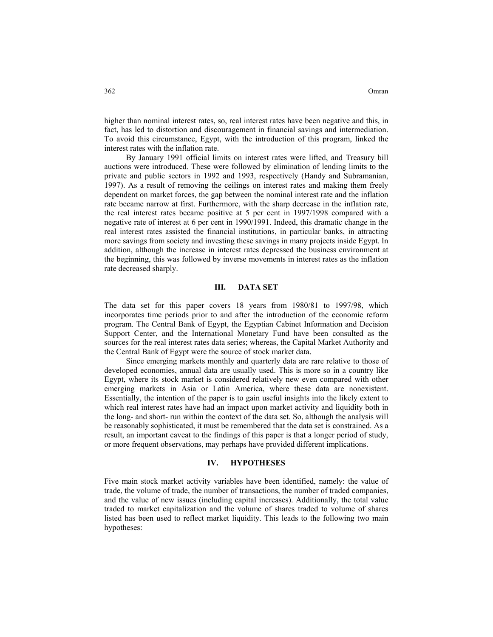higher than nominal interest rates, so, real interest rates have been negative and this, in fact, has led to distortion and discouragement in financial savings and intermediation. To avoid this circumstance, Egypt, with the introduction of this program, linked the interest rates with the inflation rate.

By January 1991 official limits on interest rates were lifted, and Treasury bill auctions were introduced. These were followed by elimination of lending limits to the private and public sectors in 1992 and 1993, respectively (Handy and Subramanian, 1997). As a result of removing the ceilings on interest rates and making them freely dependent on market forces, the gap between the nominal interest rate and the inflation rate became narrow at first. Furthermore, with the sharp decrease in the inflation rate, the real interest rates became positive at 5 per cent in 1997/1998 compared with a negative rate of interest at 6 per cent in 1990/1991. Indeed, this dramatic change in the real interest rates assisted the financial institutions, in particular banks, in attracting more savings from society and investing these savings in many projects inside Egypt. In addition, although the increase in interest rates depressed the business environment at the beginning, this was followed by inverse movements in interest rates as the inflation rate decreased sharply.

## **III. DATA SET**

The data set for this paper covers 18 years from 1980/81 to 1997/98, which incorporates time periods prior to and after the introduction of the economic reform program. The Central Bank of Egypt, the Egyptian Cabinet Information and Decision Support Center, and the International Monetary Fund have been consulted as the sources for the real interest rates data series; whereas, the Capital Market Authority and the Central Bank of Egypt were the source of stock market data.

Since emerging markets monthly and quarterly data are rare relative to those of developed economies, annual data are usually used. This is more so in a country like Egypt, where its stock market is considered relatively new even compared with other emerging markets in Asia or Latin America, where these data are nonexistent. Essentially, the intention of the paper is to gain useful insights into the likely extent to which real interest rates have had an impact upon market activity and liquidity both in the long- and short- run within the context of the data set. So, although the analysis will be reasonably sophisticated, it must be remembered that the data set is constrained. As a result, an important caveat to the findings of this paper is that a longer period of study, or more frequent observations, may perhaps have provided different implications.

### **IV. HYPOTHESES**

Five main stock market activity variables have been identified, namely: the value of trade, the volume of trade, the number of transactions, the number of traded companies, and the value of new issues (including capital increases). Additionally, the total value traded to market capitalization and the volume of shares traded to volume of shares listed has been used to reflect market liquidity. This leads to the following two main hypotheses: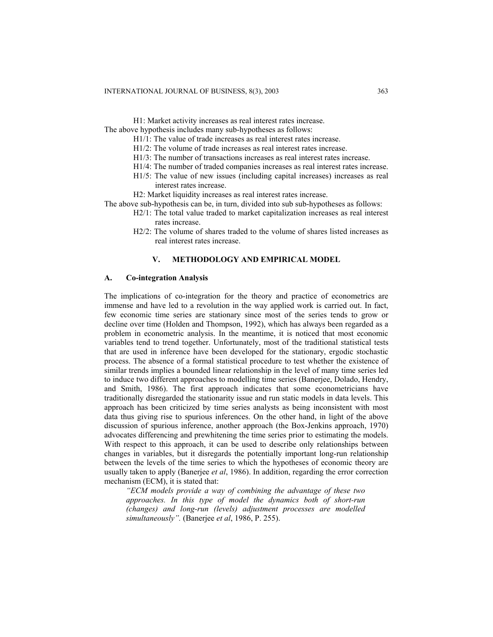H1: Market activity increases as real interest rates increase.

The above hypothesis includes many sub-hypotheses as follows:

- H1/1: The value of trade increases as real interest rates increase.
- H1/2: The volume of trade increases as real interest rates increase.
- H1/3: The number of transactions increases as real interest rates increase.
- H1/4: The number of traded companies increases as real interest rates increase.
- H1/5: The value of new issues (including capital increases) increases as real interest rates increase.
- H2: Market liquidity increases as real interest rates increase.

The above sub-hypothesis can be, in turn, divided into sub sub-hypotheses as follows:

- H2/1: The total value traded to market capitalization increases as real interest rates increase.
- H2/2: The volume of shares traded to the volume of shares listed increases as real interest rates increase.

# **V. METHODOLOGY AND EMPIRICAL MODEL**

### **A. Co-integration Analysis**

The implications of co-integration for the theory and practice of econometrics are immense and have led to a revolution in the way applied work is carried out. In fact, few economic time series are stationary since most of the series tends to grow or decline over time (Holden and Thompson, 1992), which has always been regarded as a problem in econometric analysis. In the meantime, it is noticed that most economic variables tend to trend together. Unfortunately, most of the traditional statistical tests that are used in inference have been developed for the stationary, ergodic stochastic process. The absence of a formal statistical procedure to test whether the existence of similar trends implies a bounded linear relationship in the level of many time series led to induce two different approaches to modelling time series (Banerjee, Dolado, Hendry, and Smith, 1986). The first approach indicates that some econometricians have traditionally disregarded the stationarity issue and run static models in data levels. This approach has been criticized by time series analysts as being inconsistent with most data thus giving rise to spurious inferences. On the other hand, in light of the above discussion of spurious inference, another approach (the Box-Jenkins approach, 1970) advocates differencing and prewhitening the time series prior to estimating the models. With respect to this approach, it can be used to describe only relationships between changes in variables, but it disregards the potentially important long-run relationship between the levels of the time series to which the hypotheses of economic theory are usually taken to apply (Banerjee *et al*, 1986). In addition, regarding the error correction mechanism (ECM), it is stated that:

*"ECM models provide a way of combining the advantage of these two approaches. In this type of model the dynamics both of short-run (changes) and long-run (levels) adjustment processes are modelled simultaneously".* (Banerjee *et al*, 1986, P. 255).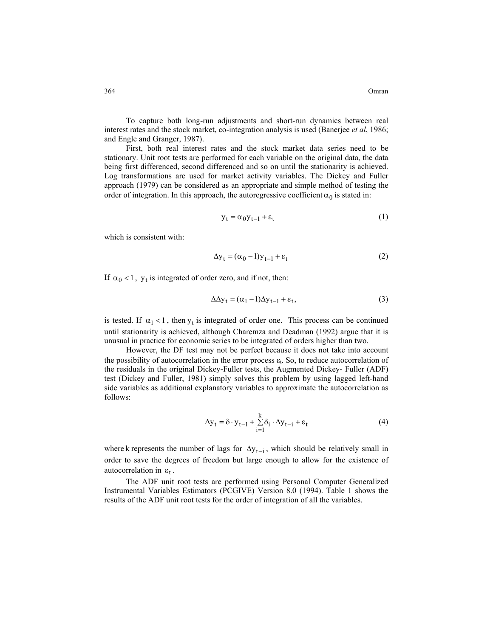To capture both long-run adjustments and short-run dynamics between real interest rates and the stock market, co-integration analysis is used (Banerjee *et al*, 1986; and Engle and Granger, 1987).

First, both real interest rates and the stock market data series need to be stationary. Unit root tests are performed for each variable on the original data, the data being first differenced, second differenced and so on until the stationarity is achieved. Log transformations are used for market activity variables. The Dickey and Fuller approach (1979) can be considered as an appropriate and simple method of testing the order of integration. In this approach, the autoregressive coefficient  $\alpha_0$  is stated in:

$$
y_t = \alpha_0 y_{t-1} + \varepsilon_t \tag{1}
$$

which is consistent with:

$$
\Delta y_t = (\alpha_0 - 1)y_{t-1} + \varepsilon_t \tag{2}
$$

If  $\alpha_0$  < 1,  $y_t$  is integrated of order zero, and if not, then:

$$
\Delta \Delta y_t = (\alpha_1 - 1)\Delta y_{t-1} + \varepsilon_t, \qquad (3)
$$

is tested. If  $\alpha_1 < 1$ , then  $y_t$  is integrated of order one. This process can be continued until stationarity is achieved, although Charemza and Deadman (1992) argue that it is unusual in practice for economic series to be integrated of orders higher than two.

However, the DF test may not be perfect because it does not take into account the possibility of autocorrelation in the error process  $\varepsilon_t$ . So, to reduce autocorrelation of the residuals in the original Dickey-Fuller tests, the Augmented Dickey- Fuller (ADF) test (Dickey and Fuller, 1981) simply solves this problem by using lagged left-hand side variables as additional explanatory variables to approximate the autocorrelation as follows:

$$
\Delta y_t = \delta \cdot y_{t-1} + \sum_{i=1}^{k} \delta_i \cdot \Delta y_{t-i} + \varepsilon_t \tag{4}
$$

where k represents the number of lags for  $\Delta y_{t-1}$ , which should be relatively small in order to save the degrees of freedom but large enough to allow for the existence of autocorrelation in  $\varepsilon_t$ .

The ADF unit root tests are performed using Personal Computer Generalized Instrumental Variables Estimators (PCGIVE) Version 8.0 (1994). Table 1 shows the results of the ADF unit root tests for the order of integration of all the variables.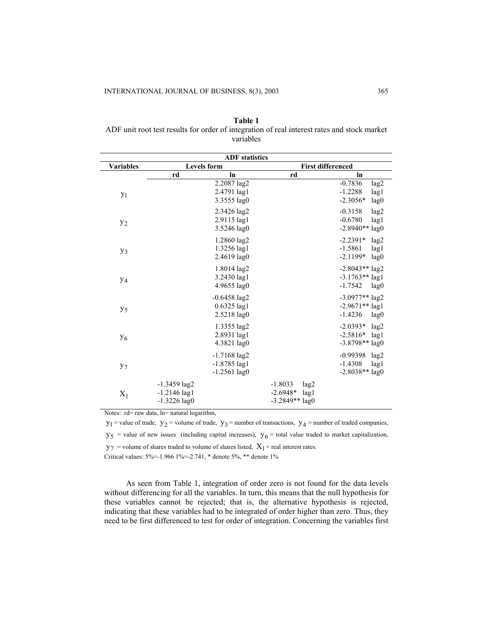| Table 1                                                                                     |
|---------------------------------------------------------------------------------------------|
| ADF unit root test results for order of integration of real interest rates and stock market |
| variables                                                                                   |

| <b>ADF</b> statistics |                                                    |                                                    |                                                             |                                                               |  |  |  |  |  |  |
|-----------------------|----------------------------------------------------|----------------------------------------------------|-------------------------------------------------------------|---------------------------------------------------------------|--|--|--|--|--|--|
| <b>Variables</b>      |                                                    | <b>Levels</b> form                                 | <b>First differenced</b>                                    |                                                               |  |  |  |  |  |  |
|                       | rd                                                 | <b>In</b>                                          | rd                                                          | <b>In</b>                                                     |  |  |  |  |  |  |
| $y_1$                 |                                                    | 2.2087 lag2<br>2.4791 lag1<br>3.3555 lag0          |                                                             | $-0.7836$<br>lag2<br>$-1.2288$<br>lag1<br>$-2.3056*$<br>lag0  |  |  |  |  |  |  |
| $y_2$                 |                                                    | 2.3426 lag2<br>2.9115 lag1<br>3.5246 lag0          |                                                             | $-0.3158$<br>lag2<br>$-0.6780$<br>lag1<br>$-2.8940**$ lag0    |  |  |  |  |  |  |
| $y_3$                 |                                                    | 1.2860 lag2<br>1.3256 lag1<br>$2.4619$ lag0        |                                                             | $-2.2391*$<br>lag2<br>$-1.5861$<br>lag1<br>$-2.1199*$<br>lag0 |  |  |  |  |  |  |
| У <sub>4</sub>        |                                                    | 1.8014 lag2<br>3.2430 lag1<br>4.9655 lag0          |                                                             | $-2.8043**$ lag2<br>$-3.1763**$ lag1<br>$-1.7542$<br>lag0     |  |  |  |  |  |  |
| У <sub>5</sub>        |                                                    | $-0.6458$ lag2<br>$0.6325$ lag1<br>$2.5218$ lag0   |                                                             | $-3.0977**$ lag2<br>$-2.9671**$ lag1<br>$-1.4236$<br>lag0     |  |  |  |  |  |  |
| У6                    |                                                    | 1.3355 lag2<br>2.8931 lag1<br>4.3821 lag0          |                                                             | $-2.0393*$<br>lag2<br>$-2.5816*$<br>lag1<br>$-3.8798**$ lag0  |  |  |  |  |  |  |
| $y_7$                 |                                                    | $-1.7168$ lag2<br>$-1.8785$ lag1<br>$-1.2561$ lag0 |                                                             | $-0.99398$<br>lag2<br>$-1.4308$<br>lag1<br>$-2.8038**$ lag0   |  |  |  |  |  |  |
| $X_1$                 | $-1.3459$ lag2<br>$-1.2146$ lag1<br>$-1.3226$ lag0 |                                                    | $-1.8033$<br>lag2<br>$-2.6948*$<br>lag1<br>$-3.2849**$ lag0 |                                                               |  |  |  |  |  |  |

Notes: rd= raw data, ln= natural logarithm,

 $y_1$  = value of trade,  $y_2$  = volume of trade,  $y_3$  = number of transactions,  $y_4$  = number of traded companies,

 $y_5$  = value of new issues (including capital increases),  $y_6$  = total value traded to market capitalization,  $y_7$  = volume of shares traded to volume of shares listed,  $X_1$  = real interest rates.

Critical values: 5%=-1.966 1%=-2.741, \* denote 5%, \*\* denote 1%

As seen from Table 1, integration of order zero is not found for the data levels without differencing for all the variables. In turn, this means that the null hypothesis for these variables cannot be rejected; that is, the alternative hypothesis is rejected, indicating that these variables had to be integrated of order higher than zero. Thus, they need to be first differenced to test for order of integration. Concerning the variables first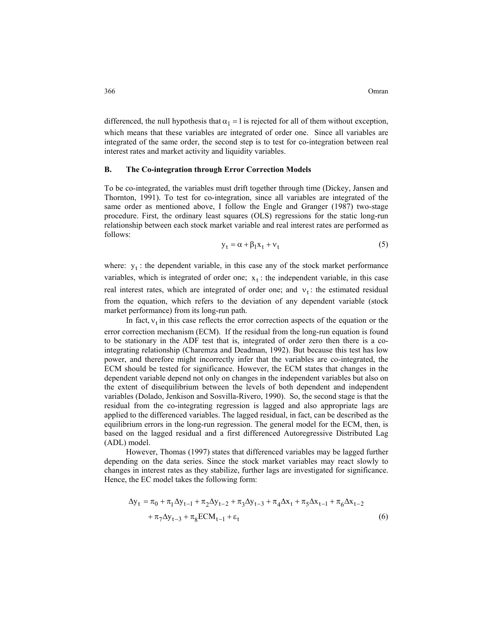differenced, the null hypothesis that  $\alpha_1 = 1$  is rejected for all of them without exception, which means that these variables are integrated of order one. Since all variables are integrated of the same order, the second step is to test for co-integration between real interest rates and market activity and liquidity variables.

### **B. The Co-integration through Error Correction Models**

To be co-integrated, the variables must drift together through time (Dickey, Jansen and Thornton, 1991). To test for co-integration, since all variables are integrated of the same order as mentioned above, I follow the Engle and Granger (1987) two-stage procedure. First, the ordinary least squares (OLS) regressions for the static long-run relationship between each stock market variable and real interest rates are performed as follows:

$$
y_t = \alpha + \beta_1 x_t + v_t \tag{5}
$$

where:  $y_t$ : the dependent variable, in this case any of the stock market performance variables, which is integrated of order one;  $x_t$ : the independent variable, in this case real interest rates, which are integrated of order one; and  $v_t$ : the estimated residual from the equation, which refers to the deviation of any dependent variable (stock market performance) from its long-run path.

In fact,  $v_t$  in this case reflects the error correction aspects of the equation or the error correction mechanism (ECM). If the residual from the long-run equation is found to be stationary in the ADF test that is, integrated of order zero then there is a cointegrating relationship (Charemza and Deadman, 1992). But because this test has low power, and therefore might incorrectly infer that the variables are co-integrated, the ECM should be tested for significance. However, the ECM states that changes in the dependent variable depend not only on changes in the independent variables but also on the extent of disequilibrium between the levels of both dependent and independent variables (Dolado, Jenkison and Sosvilla-Rivero, 1990). So, the second stage is that the residual from the co-integrating regression is lagged and also appropriate lags are applied to the differenced variables. The lagged residual, in fact, can be described as the equilibrium errors in the long-run regression. The general model for the ECM, then, is based on the lagged residual and a first differenced Autoregressive Distributed Lag (ADL) model.

However, Thomas (1997) states that differenced variables may be lagged further depending on the data series. Since the stock market variables may react slowly to changes in interest rates as they stabilize, further lags are investigated for significance. Hence, the EC model takes the following form:

$$
\Delta y_t = \pi_0 + \pi_1 \Delta y_{t-1} + \pi_2 \Delta y_{t-2} + \pi_3 \Delta y_{t-3} + \pi_4 \Delta x_t + \pi_5 \Delta x_{t-1} + \pi_6 \Delta x_{t-2} + \pi_7 \Delta y_{t-3} + \pi_8 ECM_{t-1} + \varepsilon_t
$$
\n(6)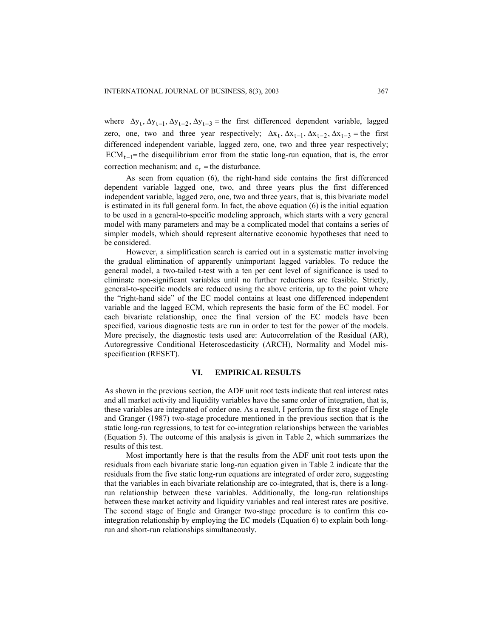where  $\Delta y_t$ ,  $\Delta y_{t-1}$ ,  $\Delta y_{t-2}$ ,  $\Delta y_{t-3}$  = the first differenced dependent variable, lagged zero, one, two and three year respectively;  $\Delta x_t$ ,  $\Delta x_{t-1}$ ,  $\Delta x_{t-2}$ ,  $\Delta x_{t-3}$  = the first differenced independent variable, lagged zero, one, two and three year respectively;  $ECM_{t-1}$ = the disequilibrium error from the static long-run equation, that is, the error correction mechanism; and  $\varepsilon_t$  = the disturbance.

As seen from equation (6), the right-hand side contains the first differenced dependent variable lagged one, two, and three years plus the first differenced independent variable, lagged zero, one, two and three years, that is, this bivariate model is estimated in its full general form. In fact, the above equation (6) is the initial equation to be used in a general-to-specific modeling approach, which starts with a very general model with many parameters and may be a complicated model that contains a series of simpler models, which should represent alternative economic hypotheses that need to be considered.

However, a simplification search is carried out in a systematic matter involving the gradual elimination of apparently unimportant lagged variables. To reduce the general model, a two-tailed t-test with a ten per cent level of significance is used to eliminate non-significant variables until no further reductions are feasible. Strictly, general-to-specific models are reduced using the above criteria, up to the point where the "right-hand side" of the EC model contains at least one differenced independent variable and the lagged ECM, which represents the basic form of the EC model. For each bivariate relationship, once the final version of the EC models have been specified, various diagnostic tests are run in order to test for the power of the models. More precisely, the diagnostic tests used are: Autocorrelation of the Residual (AR), Autoregressive Conditional Heteroscedasticity (ARCH), Normality and Model misspecification (RESET).

## **VI. EMPIRICAL RESULTS**

As shown in the previous section, the ADF unit root tests indicate that real interest rates and all market activity and liquidity variables have the same order of integration, that is, these variables are integrated of order one. As a result, I perform the first stage of Engle and Granger (1987) two-stage procedure mentioned in the previous section that is the static long-run regressions, to test for co-integration relationships between the variables (Equation 5). The outcome of this analysis is given in Table 2, which summarizes the results of this test.

Most importantly here is that the results from the ADF unit root tests upon the residuals from each bivariate static long-run equation given in Table 2 indicate that the residuals from the five static long-run equations are integrated of order zero, suggesting that the variables in each bivariate relationship are co-integrated, that is, there is a longrun relationship between these variables. Additionally, the long-run relationships between these market activity and liquidity variables and real interest rates are positive. The second stage of Engle and Granger two-stage procedure is to confirm this cointegration relationship by employing the EC models (Equation 6) to explain both longrun and short-run relationships simultaneously.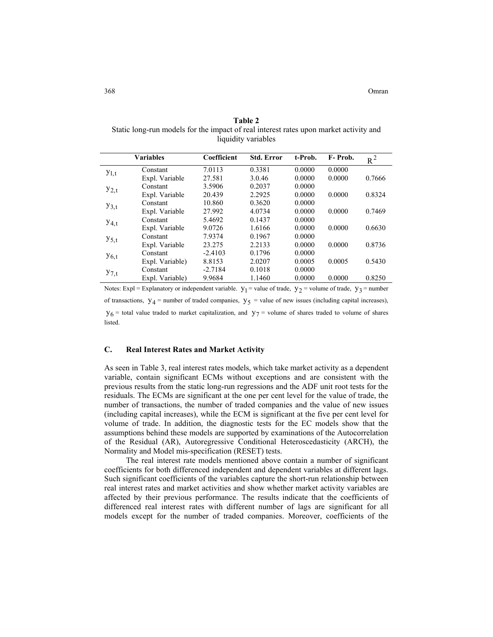| Table 2                                                                               |
|---------------------------------------------------------------------------------------|
| Static long-run models for the impact of real interest rates upon market activity and |
| liquidity variables                                                                   |

|           | <b>Variables</b> | Coefficient | <b>Std. Error</b> | t-Prob. | F-Prob. | $R^2$  |
|-----------|------------------|-------------|-------------------|---------|---------|--------|
| $y_{1,t}$ | Constant         | 7.0113      | 0.3381            | 0.0000  | 0.0000  |        |
|           | Expl. Variable   | 27.581      | 3.0.46            | 0.0000  | 0.0000  | 0.7666 |
| $y_{2,t}$ | Constant         | 3.5906      | 0.2037            | 0.0000  |         |        |
|           | Expl. Variable   | 20.439      | 2.2925            | 0.0000  | 0.0000  | 0.8324 |
| $y_{3,t}$ | Constant         | 10.860      | 0.3620            | 0.0000  |         |        |
|           | Expl. Variable   | 27.992      | 4.0734            | 0.0000  | 0.0000  | 0.7469 |
| $y_{4,t}$ | Constant         | 5.4692      | 0.1437            | 0.0000  |         |        |
|           | Expl. Variable   | 9.0726      | 1.6166            | 0.0000  | 0.0000  | 0.6630 |
|           | Constant         | 7.9374      | 0.1967            | 0.0000  |         |        |
| $y_{5,t}$ | Expl. Variable   | 23.275      | 2.2133            | 0.0000  | 0.0000  | 0.8736 |
| $y_{6,t}$ | Constant         | $-2.4103$   | 0.1796            | 0.0000  |         |        |
|           | Expl. Variable)  | 8.8153      | 2.0207            | 0.0005  | 0.0005  | 0.5430 |
| $y_{7,t}$ | Constant         | $-2.7184$   | 0.1018            | 0.0000  |         |        |
|           | Expl. Variable)  | 9.9684      | 1.1460            | 0.0000  | 0.0000  | 0.8250 |

Notes: Expl = Explanatory or independent variable.  $y_1$  = value of trade,  $y_2$  = volume of trade,  $y_3$  = number of transactions,  $y_4$  = number of traded companies,  $y_5$  = value of new issues (including capital increases),  $y_6$  = total value traded to market capitalization, and  $y_7$  = volume of shares traded to volume of shares listed.

# **C. Real Interest Rates and Market Activity**

As seen in Table 3, real interest rates models, which take market activity as a dependent variable, contain significant ECMs without exceptions and are consistent with the previous results from the static long-run regressions and the ADF unit root tests for the residuals. The ECMs are significant at the one per cent level for the value of trade, the number of transactions, the number of traded companies and the value of new issues (including capital increases), while the ECM is significant at the five per cent level for volume of trade. In addition, the diagnostic tests for the EC models show that the assumptions behind these models are supported by examinations of the Autocorrelation of the Residual (AR), Autoregressive Conditional Heteroscedasticity (ARCH), the Normality and Model mis-specification (RESET) tests.

The real interest rate models mentioned above contain a number of significant coefficients for both differenced independent and dependent variables at different lags. Such significant coefficients of the variables capture the short-run relationship between real interest rates and market activities and show whether market activity variables are affected by their previous performance. The results indicate that the coefficients of differenced real interest rates with different number of lags are significant for all models except for the number of traded companies. Moreover, coefficients of the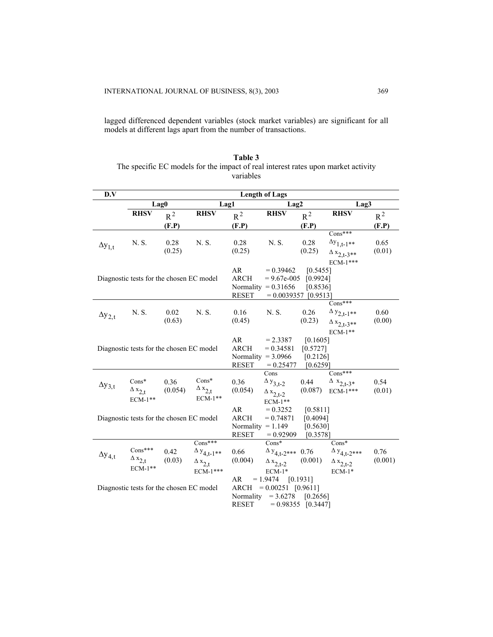lagged differenced dependent variables (stock market variables) are significant for all models at different lags apart from the number of transactions.

| Table 3                                                                           |
|-----------------------------------------------------------------------------------|
| The specific EC models for the impact of real interest rates upon market activity |
| variables                                                                         |

| D.V                                      | <b>Length of Lags</b>                    |            |                              |                                     |                             |                      |                                |         |  |  |
|------------------------------------------|------------------------------------------|------------|------------------------------|-------------------------------------|-----------------------------|----------------------|--------------------------------|---------|--|--|
|                                          | Lag0<br>Lag1                             |            |                              | Lag <sub>2</sub>                    |                             |                      | Lag <sub>3</sub>               |         |  |  |
|                                          | <b>RHSV</b>                              | $R^2$      | <b>RHSV</b>                  | $R^2$                               | <b>RHSV</b>                 | $R^2$                | <b>RHSV</b>                    | $R^2$   |  |  |
|                                          |                                          | (F.P)      |                              | (F.P)                               |                             | (F.P)                |                                | (F.P)   |  |  |
|                                          |                                          |            |                              |                                     |                             |                      | $Cons***$                      |         |  |  |
| $\Delta y_{1,t}$                         | N. S.                                    | 0.28       | N. S.                        | 0.28                                | N. S.                       | 0.28                 | $\Delta y$ <sub>1,t-1</sub> ** | 0.65    |  |  |
|                                          |                                          | (0.25)     |                              | (0.25)                              |                             | (0.25)               | $\Delta x_{2,t-3**}$           | (0.01)  |  |  |
|                                          |                                          |            |                              |                                     |                             |                      | ECM-1***                       |         |  |  |
|                                          |                                          |            |                              | AR                                  | $= 0.39462$                 | [0.5455]             |                                |         |  |  |
|                                          | Diagnostic tests for the chosen EC model |            |                              | <b>ARCH</b>                         | $= 9.67e-005$               | [0.9924]             |                                |         |  |  |
|                                          |                                          |            |                              |                                     | Normality = $0.31656$       | [0.8536]             |                                |         |  |  |
|                                          |                                          |            |                              | <b>RESET</b>                        | $= 0.0039357$ [0.9513]      |                      | $Cons***$                      |         |  |  |
|                                          | N. S.                                    | 0.02       | N. S.                        | 0.16                                | N. S.                       | 0.26                 |                                | 0.60    |  |  |
| $\Delta y_{2,t}$                         |                                          | (0.63)     |                              | (0.45)                              |                             | (0.23)               | $\Delta y_{2,t-1**}$           | (0.00)  |  |  |
|                                          |                                          |            |                              |                                     |                             |                      | $\Delta x_{2,t-3**}$           |         |  |  |
|                                          |                                          |            |                              |                                     |                             |                      | $ECM-1**$                      |         |  |  |
| Diagnostic tests for the chosen EC model |                                          | AR<br>ARCH | $= 2.3387$<br>$= 0.34581$    | [0.1605]                            |                             |                      |                                |         |  |  |
|                                          |                                          |            |                              |                                     | Normality = $3.0966$        | [0.5727]<br>[0.2126] |                                |         |  |  |
|                                          |                                          |            |                              | <b>RESET</b>                        | $= 0.25477$                 | [0.6259]             |                                |         |  |  |
|                                          |                                          |            |                              |                                     | Cons                        |                      | $Cons***$                      |         |  |  |
|                                          | $Cons*$                                  | 0.36       | $Cons*$                      | 0.36                                | $\Delta y_{3,t-2}$          | 0.44                 | $\Delta x_{2,t-3*}$            | 0.54    |  |  |
| $\Delta y_{3,t}$                         | $\Delta$ x <sub>2,t</sub>                | (0.054)    | $\Delta$ x <sub>2,t</sub>    | (0.054)                             | $\Delta$ x <sub>2,t-2</sub> | (0.087)              | ECM-1***                       | (0.01)  |  |  |
|                                          | $ECM-1**$                                |            | $ECM-1**$                    |                                     | $ECM-1**$                   |                      |                                |         |  |  |
|                                          |                                          |            |                              | AR                                  | $= 0.3252$                  | [0.5811]             |                                |         |  |  |
|                                          | Diagnostic tests for the chosen EC model |            |                              | ARCH                                | $= 0.74871$                 | [0.4094]             |                                |         |  |  |
|                                          |                                          |            |                              | Normality $= 1.149$                 |                             | [0.5630]             |                                |         |  |  |
|                                          |                                          |            |                              | <b>RESET</b>                        | $= 0.92909$                 | [0.3578]             |                                |         |  |  |
|                                          |                                          |            | Cons***                      |                                     | $Cons*$                     |                      | $Cons*$                        |         |  |  |
| $\Delta y_{4,t}$                         | $Cons***$                                | 0.42       | $\Delta y_{4,t-1**}$         | 0.66                                | $\Delta y_{4,t-2***}$ 0.76  |                      | $\Delta y_{4,t-2***}$          | 0.76    |  |  |
|                                          | $\Delta$ x <sub>2,t</sub>                | (0.03)     | $\Delta x_{2,t}$             | (0.004)                             | $\Delta$ x <sub>2,t-2</sub> | (0.001)              | $\Delta$ x <sub>2,t-2</sub>    | (0.001) |  |  |
|                                          | $ECM-1**$                                |            | ECM-1***                     |                                     | $ECM-1*$                    |                      | $ECM-1*$                       |         |  |  |
|                                          |                                          |            |                              | AR                                  | $= 1.9474$                  | [0.1931]             |                                |         |  |  |
| Diagnostic tests for the chosen EC model |                                          |            | ARCH<br>$= 0.00251$ [0.9611] |                                     |                             |                      |                                |         |  |  |
|                                          |                                          |            |                              | Normality<br>$= 3.6278$<br>[0.2656] |                             |                      |                                |         |  |  |
|                                          |                                          |            |                              | <b>RESET</b>                        | $= 0.98355$ [0.3447]        |                      |                                |         |  |  |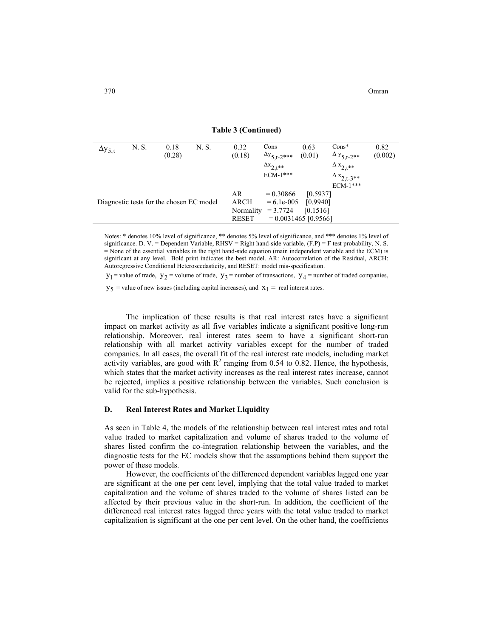370 Omran

| $\Delta y_{5,t}$ | N. S.                                    | 0.18<br>(0.28) | N. S. | 0.32<br>(0.18)                          | Cons<br>$\Delta y_{5,t-2***}$<br>$\Delta x_{2,t**}$<br>$ECM-1***$ | 0.63<br>(0.01)                                             | $Cons*$<br>$\Delta y_{5,t-2**}$<br>$\Delta x_{2,t**}$<br>$\Delta x_{2,t-3**}$<br>$ECM-1***$ | 0.82<br>(0.002) |
|------------------|------------------------------------------|----------------|-------|-----------------------------------------|-------------------------------------------------------------------|------------------------------------------------------------|---------------------------------------------------------------------------------------------|-----------------|
|                  | Diagnostic tests for the chosen EC model |                |       | AR<br>ARCH<br>Normality<br><b>RESET</b> | $= 0.30866$<br>$= 6.1e-005$<br>$= 3.7724$                         | [0.5937]<br>[0.9940]<br>[0.1516]<br>$= 0.0031465$ [0.9566] |                                                                                             |                 |

**Table 3 (Continued)** 

Notes:  $*$  denotes 10% level of significance,  $**$  denotes 5% level of significance, and  $***$  denotes 1% level of significance. D. V. = Dependent Variable,  $R$ HSV = Right hand-side variable,  $(F.P)$  = F test probability, N. S. = None of the essential variables in the right hand-side equation (main independent variable and the ECM) is significant at any level. Bold print indicates the best model. AR: Autocorrelation of the Residual, ARCH: Autoregressive Conditional Heteroscedasticity, and RESET: model mis-specification.

 $y_1$  = value of trade,  $y_2$  = volume of trade,  $y_3$  = number of transactions,  $y_4$  = number of traded companies,

 $y_5$  = value of new issues (including capital increases), and  $x_1$  = real interest rates.

The implication of these results is that real interest rates have a significant impact on market activity as all five variables indicate a significant positive long-run relationship. Moreover, real interest rates seem to have a significant short-run relationship with all market activity variables except for the number of traded companies. In all cases, the overall fit of the real interest rate models, including market activity variables, are good with  $R^2$  ranging from 0.54 to 0.82. Hence, the hypothesis, which states that the market activity increases as the real interest rates increase, cannot be rejected, implies a positive relationship between the variables. Such conclusion is valid for the sub-hypothesis.

#### **D. Real Interest Rates and Market Liquidity**

As seen in Table 4, the models of the relationship between real interest rates and total value traded to market capitalization and volume of shares traded to the volume of shares listed confirm the co-integration relationship between the variables, and the diagnostic tests for the EC models show that the assumptions behind them support the power of these models.

However, the coefficients of the differenced dependent variables lagged one year are significant at the one per cent level, implying that the total value traded to market capitalization and the volume of shares traded to the volume of shares listed can be affected by their previous value in the short-run. In addition, the coefficient of the differenced real interest rates lagged three years with the total value traded to market capitalization is significant at the one per cent level. On the other hand, the coefficients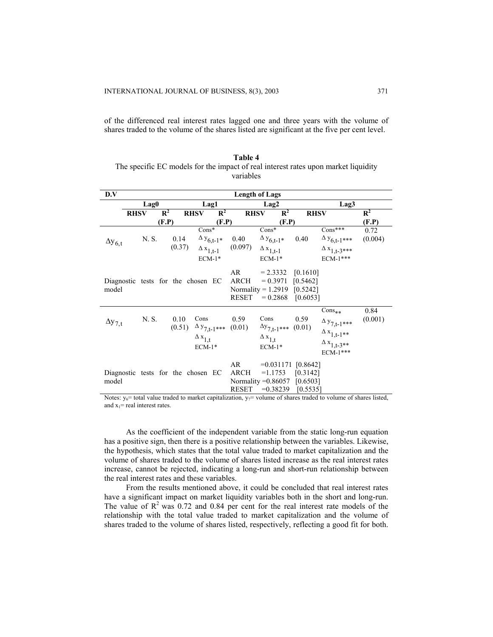of the differenced real interest rates lagged one and three years with the volume of shares traded to the volume of the shares listed are significant at the five per cent level.

| D.V              |                                    |                |                                                                                                |                               | <b>Length of Lags</b>                                                                          |                                  |                                                                                                                                                                   |                 |
|------------------|------------------------------------|----------------|------------------------------------------------------------------------------------------------|-------------------------------|------------------------------------------------------------------------------------------------|----------------------------------|-------------------------------------------------------------------------------------------------------------------------------------------------------------------|-----------------|
|                  | Lag0<br>Lag1                       |                |                                                                                                |                               | Lag <sub>2</sub>                                                                               |                                  |                                                                                                                                                                   |                 |
|                  | <b>RHSV</b>                        | $\mathbb{R}^2$ | $\mathbb{R}^2$<br><b>RHSV</b>                                                                  | $\mathbb{R}^2$<br><b>RHSV</b> |                                                                                                |                                  | <b>RHSV</b>                                                                                                                                                       |                 |
|                  |                                    | (F.P)          | (F.P)                                                                                          |                               | (F.P)                                                                                          |                                  |                                                                                                                                                                   | (F.P)           |
| $\Delta y_{6,t}$ | N. S.                              | 0.14<br>(0.37) | $\overline{\mathrm{Cons}^*}$<br>$\Delta y_{6,t-1*}$<br>$\Delta$ x <sub>1,t-1</sub><br>$ECM-1*$ | 0.40<br>(0.097)               | $\overline{\mathrm{Cons}^*}$<br>$\Delta y_{6,t-1*}$<br>$\Delta$ x <sub>1,t-1</sub><br>$ECM-1*$ | 0.40                             | $Cons***$<br>$\Delta y_{6,t-1***}$<br>$\Delta$ x <sub>1,t-3</sub> ***<br>$ECM-1***$                                                                               | 0.72<br>(0.004) |
| model            | Diagnostic tests for the chosen EC |                |                                                                                                | AR<br>ARCH<br>RESET           | $= 2.3332$<br>$= 0.3971$ [0.5462]<br>Normality = $1.2919$ [0.5242]<br>$= 0.2868$ [0.6053]      | [0.1610]                         |                                                                                                                                                                   |                 |
| $\Delta y_{7,t}$ | N. S.                              | 0.10<br>(0.51) | Cons<br>$\Delta y_{7,t-1***}(0.01)$<br>$^{\Delta}$ x $_{\rm 1,t}$<br>$ECM-1*$                  | 0.59                          | Cons<br>$\Delta y_{7,t-1***}(0.01)$<br>$\Delta$ x <sub>1,t</sub><br>$ECM-1*$                   | 0.59                             | $Cons_{**}$<br>$\Delta\, {\mathsf{y}}_{7,{\mathsf{t}}\text{-}1} \ast \ast \ast$<br>$\Delta$ x <sub>1,t-1</sub> **<br>$\Delta$ x <sub>1.t-3</sub> **<br>$ECM-1***$ | 0.84<br>(0.001) |
| model            | Diagnostic tests for the chosen EC |                |                                                                                                | AR<br>ARCH<br><b>RESET</b>    | $=0.031171$ [0.8642]<br>$=1.1753$<br>Normality $=0.86057$<br>$=0.38239$                        | [0.3142]<br>[0.6503]<br>[0.5535] |                                                                                                                                                                   |                 |

**Table 4** The specific EC models for the impact of real interest rates upon market liquidity variables

Notes:  $y_6$  total value traded to market capitalization,  $y_7$  volume of shares traded to volume of shares listed, and  $x_1$ = real interest rates.

As the coefficient of the independent variable from the static long-run equation has a positive sign, then there is a positive relationship between the variables. Likewise, the hypothesis, which states that the total value traded to market capitalization and the volume of shares traded to the volume of shares listed increase as the real interest rates increase, cannot be rejected, indicating a long-run and short-run relationship between the real interest rates and these variables.

From the results mentioned above, it could be concluded that real interest rates have a significant impact on market liquidity variables both in the short and long-run. The value of  $\mathbb{R}^2$  was 0.72 and 0.84 per cent for the real interest rate models of the relationship with the total value traded to market capitalization and the volume of shares traded to the volume of shares listed, respectively, reflecting a good fit for both.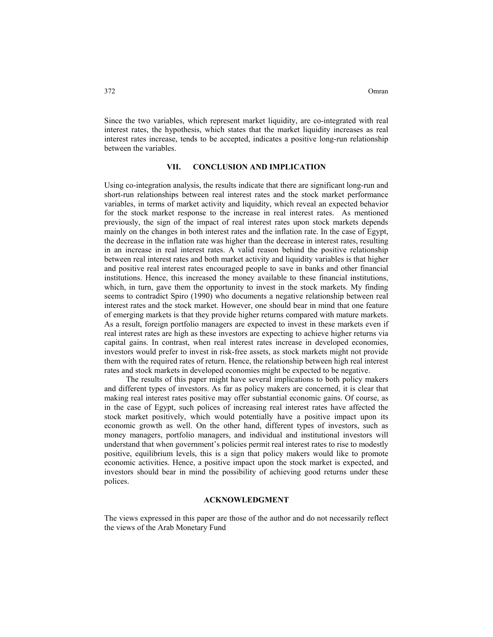Since the two variables, which represent market liquidity, are co-integrated with real interest rates, the hypothesis, which states that the market liquidity increases as real interest rates increase, tends to be accepted, indicates a positive long-run relationship between the variables.

## **VII. CONCLUSION AND IMPLICATION**

Using co-integration analysis, the results indicate that there are significant long-run and short-run relationships between real interest rates and the stock market performance variables, in terms of market activity and liquidity, which reveal an expected behavior for the stock market response to the increase in real interest rates. As mentioned previously, the sign of the impact of real interest rates upon stock markets depends mainly on the changes in both interest rates and the inflation rate. In the case of Egypt, the decrease in the inflation rate was higher than the decrease in interest rates, resulting in an increase in real interest rates. A valid reason behind the positive relationship between real interest rates and both market activity and liquidity variables is that higher and positive real interest rates encouraged people to save in banks and other financial institutions. Hence, this increased the money available to these financial institutions, which, in turn, gave them the opportunity to invest in the stock markets. My finding seems to contradict Spiro (1990) who documents a negative relationship between real interest rates and the stock market. However, one should bear in mind that one feature of emerging markets is that they provide higher returns compared with mature markets. As a result, foreign portfolio managers are expected to invest in these markets even if real interest rates are high as these investors are expecting to achieve higher returns via capital gains. In contrast, when real interest rates increase in developed economies, investors would prefer to invest in risk-free assets, as stock markets might not provide them with the required rates of return. Hence, the relationship between high real interest rates and stock markets in developed economies might be expected to be negative.

The results of this paper might have several implications to both policy makers and different types of investors. As far as policy makers are concerned, it is clear that making real interest rates positive may offer substantial economic gains. Of course, as in the case of Egypt, such polices of increasing real interest rates have affected the stock market positively, which would potentially have a positive impact upon its economic growth as well. On the other hand, different types of investors, such as money managers, portfolio managers, and individual and institutional investors will understand that when government's policies permit real interest rates to rise to modestly positive, equilibrium levels, this is a sign that policy makers would like to promote economic activities. Hence, a positive impact upon the stock market is expected, and investors should bear in mind the possibility of achieving good returns under these polices.

## **ACKNOWLEDGMENT**

The views expressed in this paper are those of the author and do not necessarily reflect the views of the Arab Monetary Fund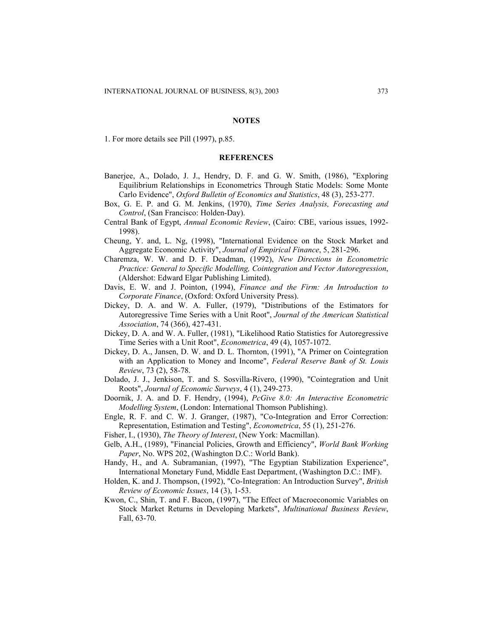#### **NOTES**

1. For more details see Pill (1997), p.85.

### **REFERENCES**

- Banerjee, A., Dolado, J. J., Hendry, D. F. and G. W. Smith, (1986), "Exploring Equilibrium Relationships in Econometrics Through Static Models: Some Monte Carlo Evidence", *Oxford Bulletin of Economics and Statistics*, 48 (3), 253-277.
- Box, G. E. P. and G. M. Jenkins, (1970), *Time Series Analysis, Forecasting and Control*, (San Francisco: Holden-Day).
- Central Bank of Egypt, *Annual Economic Review*, (Cairo: CBE, various issues, 1992- 1998).
- Cheung, Y. and, L. Ng, (1998), "International Evidence on the Stock Market and Aggregate Economic Activity", *Journal of Empirical Finance*, 5, 281-296.
- Charemza, W. W. and D. F. Deadman, (1992), *New Directions in Econometric Practice: General to Specific Modelling, Cointegration and Vector Autoregression*, (Aldershot: Edward Elgar Publishing Limited).
- Davis, E. W. and J. Pointon, (1994), *Finance and the Firm: An Introduction to Corporate Finance*, (Oxford: Oxford University Press).
- Dickey, D. A. and W. A. Fuller, (1979), "Distributions of the Estimators for Autoregressive Time Series with a Unit Root", *Journal of the American Statistical Association*, 74 (366), 427-431.
- Dickey, D. A. and W. A. Fuller, (1981), "Likelihood Ratio Statistics for Autoregressive Time Series with a Unit Root", *Econometrica*, 49 (4), 1057-1072.
- Dickey, D. A., Jansen, D. W. and D. L. Thornton, (1991), "A Primer on Cointegration with an Application to Money and Income", *Federal Reserve Bank of St. Louis Review*, 73 (2), 58-78.
- Dolado, J. J., Jenkison, T. and S. Sosvilla-Rivero, (1990), "Cointegration and Unit Roots", *Journal of Economic Surveys*, 4 (1), 249-273.
- Doornik, J. A. and D. F. Hendry, (1994), *PcGive 8.0: An Interactive Econometric Modelling System*, (London: International Thomson Publishing).
- Engle, R. F. and C. W. J. Granger, (1987), "Co-Integration and Error Correction: Representation, Estimation and Testing", *Econometrica*, 55 (1), 251-276.
- Fisher, I., (1930), *The Theory of Interest*, (New York: Macmillan).
- Gelb, A.H., (1989), "Financial Policies, Growth and Efficiency", *World Bank Working Paper*, No. WPS 202, (Washington D.C.: World Bank).
- Handy, H., and A. Subramanian, (1997), "The Egyptian Stabilization Experience", International Monetary Fund, Middle East Department, (Washington D.C.: IMF).
- Holden, K. and J. Thompson, (1992), "Co-Integration: An Introduction Survey", *British Review of Economic Issues*, 14 (3), 1-53.
- Kwon, C., Shin, T. and F. Bacon, (1997), "The Effect of Macroeconomic Variables on Stock Market Returns in Developing Markets", *Multinational Business Review*, Fall, 63-70.